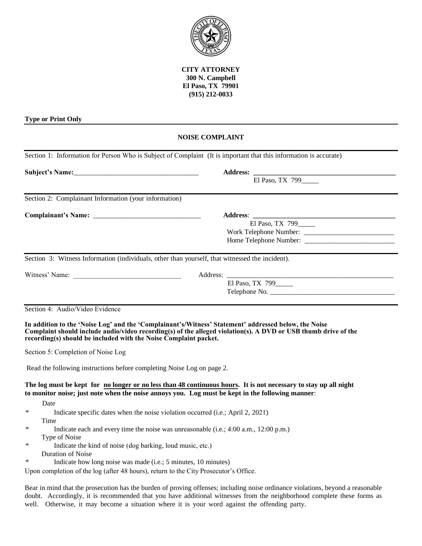

**CITY ATTORNEY 300 N. Campbell El Paso, TX 79901 (915) 212-0033**

## **Type or Print Only**

## **NOISE COMPLAINT**

| Section 1: Information for Person Who is Subject of Complaint (It is important that this information is accurate) |                                                                                                                                                                                                                        |  |  |
|-------------------------------------------------------------------------------------------------------------------|------------------------------------------------------------------------------------------------------------------------------------------------------------------------------------------------------------------------|--|--|
|                                                                                                                   |                                                                                                                                                                                                                        |  |  |
|                                                                                                                   | El Paso, TX 799                                                                                                                                                                                                        |  |  |
| Section 2: Complainant Information (your information)                                                             |                                                                                                                                                                                                                        |  |  |
|                                                                                                                   |                                                                                                                                                                                                                        |  |  |
|                                                                                                                   | El Paso, TX 799____                                                                                                                                                                                                    |  |  |
|                                                                                                                   |                                                                                                                                                                                                                        |  |  |
|                                                                                                                   |                                                                                                                                                                                                                        |  |  |
| Section 3: Witness Information (individuals, other than yourself, that witnessed the incident).                   |                                                                                                                                                                                                                        |  |  |
|                                                                                                                   | Address: _                                                                                                                                                                                                             |  |  |
|                                                                                                                   | El Paso, TX 799                                                                                                                                                                                                        |  |  |
|                                                                                                                   | Telephone No.                                                                                                                                                                                                          |  |  |
| recording(s) should be included with the Noise Complaint packet.                                                  | In addition to the 'Noise Log' and the 'Complainant's/Witness' Statement' addressed below, the Noise<br>Complaint should include audio/video recording(s) of the alleged violation(s). A DVD or USB thumb drive of the |  |  |
| Section 5: Completion of Noise Log                                                                                |                                                                                                                                                                                                                        |  |  |
| Read the following instructions before completing Noise Log on page 2.                                            |                                                                                                                                                                                                                        |  |  |
|                                                                                                                   | The log must be kept for no longer or no less than 48 continuous hours. It is not necessary to stay up all night<br>to monitor noise; just note when the noise annoys you. Log must be kept in the following manner:   |  |  |
| Date                                                                                                              |                                                                                                                                                                                                                        |  |  |
| $\ast$<br>Indicate specific dates when the noise violation occurred (i.e.; April 2, 2021)                         |                                                                                                                                                                                                                        |  |  |
| Time<br>∗                                                                                                         |                                                                                                                                                                                                                        |  |  |
|                                                                                                                   | Indicate each and every time the noise was unreasonable (i.e.; 4:00 a.m., 12:00 p.m.)                                                                                                                                  |  |  |
| Type of Noise<br>$\ast$<br>Indicate the kind of noise (dog barking, loud music, etc.)                             |                                                                                                                                                                                                                        |  |  |
| <b>Duration of Noise</b>                                                                                          |                                                                                                                                                                                                                        |  |  |
| $\ast$<br>Indicate how long noise was made (i.e.; 5 minutes, 10 minutes)                                          |                                                                                                                                                                                                                        |  |  |
| Upon completion of the log (after 48 hours), return to the City Prosecutor's Office.                              |                                                                                                                                                                                                                        |  |  |
|                                                                                                                   | Bear in mind that the prosecution has the burden of proving offenses; including noise ordinance violations, beyond a reasonable                                                                                        |  |  |

doubt. Accordingly, it is recommended that you have additional witnesses from the neighborhood complete these forms as well. Otherwise, it may become a situation where it is your word against the offending party.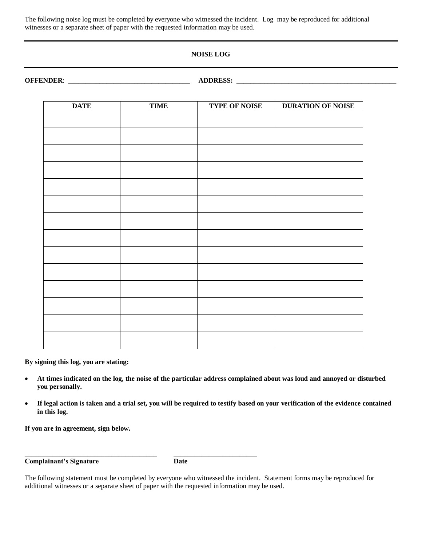The following noise log must be completed by everyone who witnessed the incident. Log may be reproduced for additional witnesses or a separate sheet of paper with the requested information may be used.

## **NOISE LOG**

**OFFENDER**: \_\_\_\_\_\_\_\_\_\_\_\_\_\_\_\_\_\_\_\_\_\_\_\_\_\_\_\_\_\_\_\_\_\_\_ **ADDRESS:** \_\_\_\_\_\_\_\_\_\_\_\_\_\_\_\_\_\_\_\_\_\_\_\_\_\_\_\_\_\_\_\_\_\_\_\_\_\_\_\_\_\_\_\_\_\_

| <b>TIME</b> | <b>TYPE OF NOISE</b> | <b>DURATION OF NOISE</b> |
|-------------|----------------------|--------------------------|
|             |                      |                          |
|             |                      |                          |
|             |                      |                          |
|             |                      |                          |
|             |                      |                          |
|             |                      |                          |
|             |                      |                          |
|             |                      |                          |
|             |                      |                          |
|             |                      |                          |
|             |                      |                          |
|             |                      |                          |
|             |                      |                          |
|             |                      |                          |
|             |                      |                          |
|             |                      |                          |

**By signing this log, you are stating:**

- **At times indicated on the log, the noise of the particular address complained about was loud and annoyed or disturbed you personally.**
- **If legal action is taken and a trial set, you will be required to testify based on your verification of the evidence contained in this log.**

**If you are in agreement, sign below.**

**Complainant's Signature Date**

**\_\_\_\_\_\_\_\_\_\_\_\_\_\_\_\_\_\_\_\_\_\_\_\_\_\_\_\_\_\_\_\_\_\_\_\_\_\_ \_\_\_\_\_\_\_\_\_\_\_\_\_\_\_\_\_\_\_\_\_\_\_\_**

The following statement must be completed by everyone who witnessed the incident. Statement forms may be reproduced for additional witnesses or a separate sheet of paper with the requested information may be used.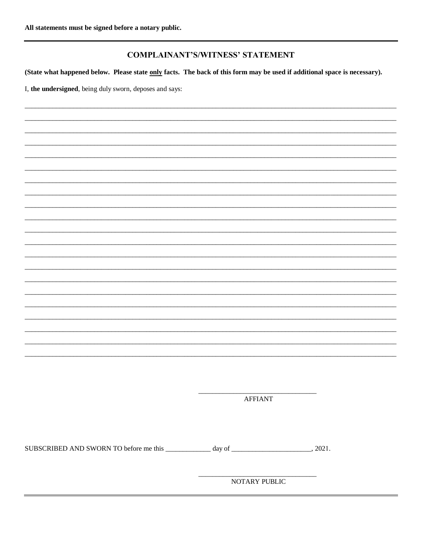## **COMPLAINANT'S/WITNESS' STATEMENT**

(State what happened below. Please state only facts. The back of this form may be used if additional space is necessary).

I, the undersigned, being duly sworn, deposes and says:

**AFFIANT** 

NOTARY PUBLIC